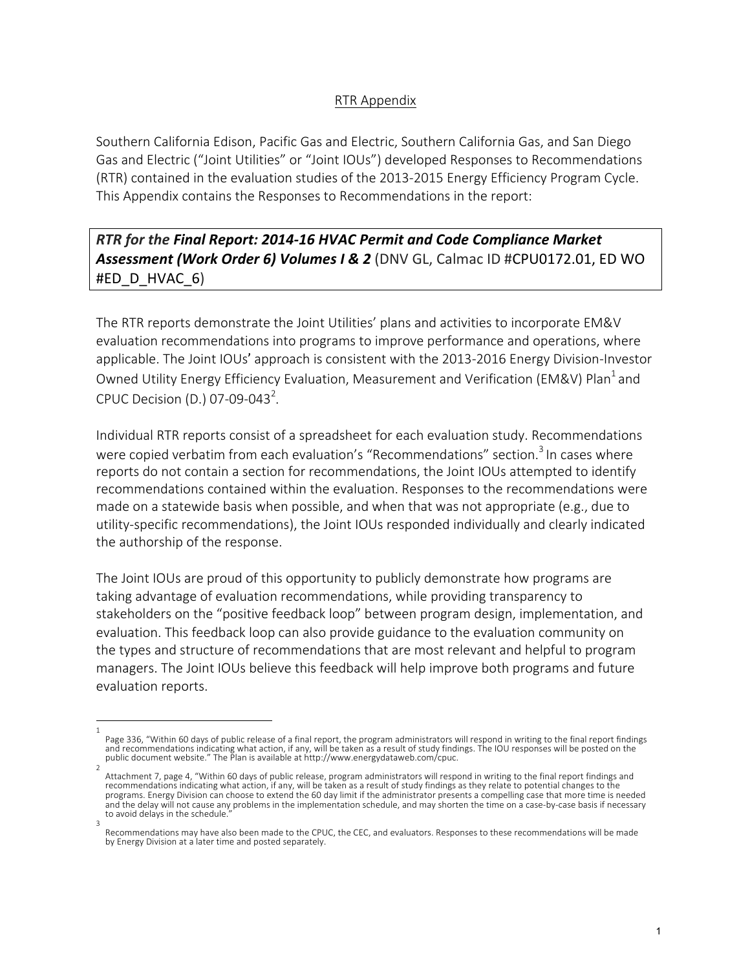## RTR Appendix

Southern California Edison, Pacific Gas and Electric, Southern California Gas, and San Diego Gas and Electric ("Joint Utilities" or "Joint IOUs") developed Responses to Recommendations (RTR) contained in the evaluation studies of the 2013-2015 Energy Efficiency Program Cycle. This Appendix contains the Responses to Recommendations in the report:

**RTR** for the Final Report: 2014-16 HVAC Permit and Code Compliance Market Assessment (Work Order 6) Volumes I & 2 (DNV GL, Calmac ID #CPU0172.01, ED WO #ED\_D\_HVAC\_6)

The RTR reports demonstrate the Joint Utilities' plans and activities to incorporate EM&V evaluation recommendations into programs to improve performance and operations, where applicable. The Joint IOUs' approach is consistent with the 2013-2016 Energy Division-Investor Owned Utility Energy Efficiency Evaluation, Measurement and Verification (EM&V) Plan<sup>1</sup> and CPUC Decision (D.) 07-09-043<sup>2</sup>.

Individual RTR reports consist of a spreadsheet for each evaluation study. Recommendations were copied verbatim from each evaluation's "Recommendations" section.<sup>3</sup> In cases where reports do not contain a section for recommendations, the Joint IOUs attempted to identify recommendations contained within the evaluation. Responses to the recommendations were made on a statewide basis when possible, and when that was not appropriate (e.g., due to utility-specific recommendations), the Joint IOUs responded individually and clearly indicated the authorship of the response.

The Joint IOUs are proud of this opportunity to publicly demonstrate how programs are taking advantage of evaluation recommendations, while providing transparency to stakeholders on the "positive feedback loop" between program design, implementation, and evaluation. This feedback loop can also provide guidance to the evaluation community on the types and structure of recommendations that are most relevant and helpful to program managers. The Joint IOUs believe this feedback will help improve both programs and future evaluation reports.

<sup>1</sup>  Page 336, "Within 60 days of public release of a final report, the program administrators will respond in writing to the final report findings and recommendations indicating what action, if any, will be taken as a result of study findings. The IOU responses will be posted on the<br>public document website." The Plan is available at http://www.energydataweb.com/cpuc.

<sup>2</sup>  Attachment 7, page 4, "Within 60 days of public release, program administrators will respond in writing to the final report findings and recommendations indicating what action, if any, will be taken as a result of study findings as they relate to potential changes to the programs. Energy Division can choose to extend the 60 day limit if the administrator presents a compelling case that more time is needed and the delay will not cause any problems in the implementation schedule, and may shorten the time on a case-by-case basis if necessary to avoid delays in the schedule.

<sup>3</sup>  Recommendations may have also been made to the CPUC, the CEC, and evaluators. Responses to these recommendations will be made by Energy Division at a later time and posted separately.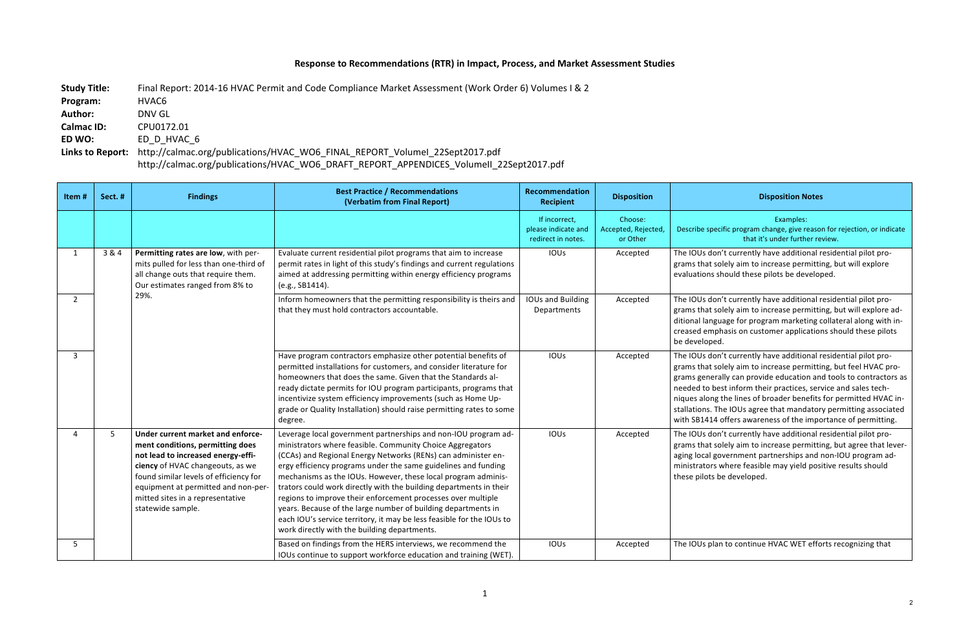## **Response to Recommendations (RTR) in Impact, Process, and Market Assessment Studies**

Study Title: Final Report: 2014-16 HVAC Permit and Code Compliance Market Assessment (Work Order 6) Volumes I & 2 **Program:**  HVAC6 Author: **DNV GL Calmac ID: CPU0172.01 ED WO: ED D HVAC 6** Links to Report: http://calmac.org/publications/HVAC\_WO6\_FINAL\_REPORT\_VolumeI\_22Sept2017.pdf http://calmac.org/publications/HVAC\_WO6\_DRAFT\_REPORT\_APPENDICES\_VolumeII\_22Sept2017.pdf

## **Disposition Notes**

Examples: ecific program change, give reason for rejection, or indicate that it's under further review.

on't currently have additional residential pilot prosolely aim to increase permitting, but will explore should these pilots be developed.

on't currently have additional residential pilot prosolely aim to increase permitting, but will explore adguage for program marketing collateral along with inphasis on customer applications should these pilots ed.

on't currently have additional residential pilot prosolely aim to increase permitting, but feel HVAC prorally can provide education and tools to contractors as best inform their practices, service and sales techig the lines of broader benefits for permitted HVAC in-The IOUs agree that mandatory permitting associated 4 offers awareness of the importance of permitting.

Ion't currently have additional residential pilot prosolely aim to increase permitting, but agree that levergovernment partnerships and non-IOU program ads where feasible may yield positive results should s be developed.

lan to continue HVAC WET efforts recognizing that

| Item#        | Sect.# | <b>Findings</b>                                                                                                                                                                                                                                                                           | <b>Best Practice / Recommendations</b><br>(Verbatim from Final Report)                                                                                                                                                                                                                                                                                                                                                                                                                                                                                                                                                                                          | Recommendation<br><b>Recipient</b>                         | <b>Disposition</b>                         |                                                                                                        |
|--------------|--------|-------------------------------------------------------------------------------------------------------------------------------------------------------------------------------------------------------------------------------------------------------------------------------------------|-----------------------------------------------------------------------------------------------------------------------------------------------------------------------------------------------------------------------------------------------------------------------------------------------------------------------------------------------------------------------------------------------------------------------------------------------------------------------------------------------------------------------------------------------------------------------------------------------------------------------------------------------------------------|------------------------------------------------------------|--------------------------------------------|--------------------------------------------------------------------------------------------------------|
|              |        |                                                                                                                                                                                                                                                                                           |                                                                                                                                                                                                                                                                                                                                                                                                                                                                                                                                                                                                                                                                 | If incorrect,<br>please indicate and<br>redirect in notes. | Choose:<br>Accepted, Rejected,<br>or Other | Describe spe                                                                                           |
| $\mathbf{1}$ | 3 & 4  | Permitting rates are low, with per-<br>mits pulled for less than one-third of<br>all change outs that require them.<br>Our estimates ranged from 8% to<br>29%.                                                                                                                            | Evaluate current residential pilot programs that aim to increase<br>permit rates in light of this study's findings and current regulations<br>aimed at addressing permitting within energy efficiency programs<br>(e.g., SB1414).                                                                                                                                                                                                                                                                                                                                                                                                                               | <b>IOUs</b>                                                | Accepted                                   | The IOUs do<br>grams that :<br>evaluations                                                             |
| $2^{\circ}$  |        |                                                                                                                                                                                                                                                                                           | Inform homeowners that the permitting responsibility is theirs and<br>that they must hold contractors accountable.                                                                                                                                                                                                                                                                                                                                                                                                                                                                                                                                              | <b>IOUs and Building</b><br>Departments                    | Accepted                                   | The IOUs do<br>grams that s<br>ditional lang<br>creased em<br>be develope                              |
| $\mathbf{3}$ |        |                                                                                                                                                                                                                                                                                           | Have program contractors emphasize other potential benefits of<br>permitted installations for customers, and consider literature for<br>homeowners that does the same. Given that the Standards al-<br>ready dictate permits for IOU program participants, programs that<br>incentivize system efficiency improvements (such as Home Up-<br>grade or Quality Installation) should raise permitting rates to some<br>degree.                                                                                                                                                                                                                                     | IOUs                                                       | Accepted                                   | The IOUs do<br>grams that s<br>grams gene<br>needed to b<br>niques alon<br>stallations.<br>with SB1414 |
| 4            | 5      | Under current market and enforce-<br>ment conditions, permitting does<br>not lead to increased energy-effi-<br>ciency of HVAC changeouts, as we<br>found similar levels of efficiency for<br>equipment at permitted and non-per-<br>mitted sites in a representative<br>statewide sample. | Leverage local government partnerships and non-IOU program ad-<br>ministrators where feasible. Community Choice Aggregators<br>(CCAs) and Regional Energy Networks (RENs) can administer en-<br>ergy efficiency programs under the same guidelines and funding<br>mechanisms as the IOUs. However, these local program adminis-<br>trators could work directly with the building departments in their<br>regions to improve their enforcement processes over multiple<br>years. Because of the large number of building departments in<br>each IOU's service territory, it may be less feasible for the IOUs to<br>work directly with the building departments. | IOUs                                                       | Accepted                                   | The IOUs do<br>grams that s<br>aging local g<br>ministrators<br>these pilots                           |
| 5            |        |                                                                                                                                                                                                                                                                                           | Based on findings from the HERS interviews, we recommend the<br>IOUs continue to support workforce education and training (WET).                                                                                                                                                                                                                                                                                                                                                                                                                                                                                                                                | IOUs                                                       | Accepted                                   | The IOUs pla                                                                                           |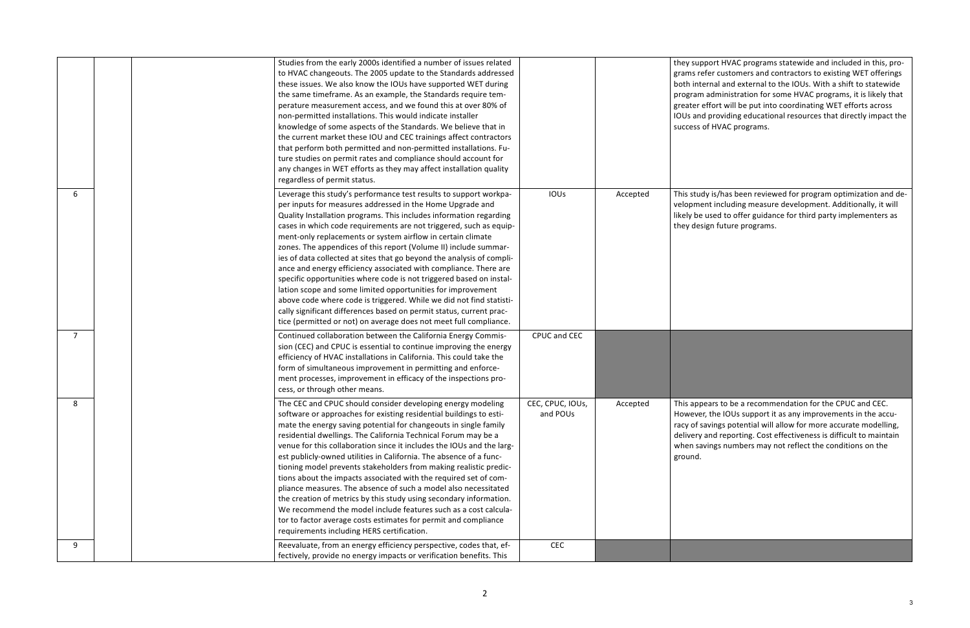ort HVAC programs statewide and included in this, proer customers and contractors to existing WET offerings nal and external to the IOUs. With a shift to statewide dministration for some HVAC programs, it is likely that fort will be put into coordinating WET efforts across providing educational resources that directly impact the HVAC programs.

is/has been reviewed for program optimization and det including measure development. Additionally, it will sed to offer guidance for third party implementers as n future programs.

ars to be a recommendation for the CPUC and CEC. the IOUs support it as any improvements in the accurings potential will allow for more accurate modelling, nd reporting. Cost effectiveness is difficult to maintain ngs numbers may not reflect the conditions on the

|                |  | Studies from the early 2000s identified a number of issues related    |                  |          | they suppo   |
|----------------|--|-----------------------------------------------------------------------|------------------|----------|--------------|
|                |  | to HVAC changeouts. The 2005 update to the Standards addressed        |                  |          | grams refer  |
|                |  | these issues. We also know the IOUs have supported WET during         |                  |          | both intern  |
|                |  | the same timeframe. As an example, the Standards require tem-         |                  |          | program ad   |
|                |  | perature measurement access, and we found this at over 80% of         |                  |          | greater eff  |
|                |  | non-permitted installations. This would indicate installer            |                  |          | IOUs and p   |
|                |  | knowledge of some aspects of the Standards. We believe that in        |                  |          | success of I |
|                |  | the current market these IOU and CEC trainings affect contractors     |                  |          |              |
|                |  | that perform both permitted and non-permitted installations. Fu-      |                  |          |              |
|                |  | ture studies on permit rates and compliance should account for        |                  |          |              |
|                |  | any changes in WET efforts as they may affect installation quality    |                  |          |              |
|                |  | regardless of permit status.                                          |                  |          |              |
| 6              |  | Leverage this study's performance test results to support workpa-     | <b>IOUs</b>      | Accepted | This study i |
|                |  | per inputs for measures addressed in the Home Upgrade and             |                  |          | velopment    |
|                |  | Quality Installation programs. This includes information regarding    |                  |          | likely be us |
|                |  | cases in which code requirements are not triggered, such as equip-    |                  |          | they desigr  |
|                |  | ment-only replacements or system airflow in certain climate           |                  |          |              |
|                |  | zones. The appendices of this report (Volume II) include summar-      |                  |          |              |
|                |  | ies of data collected at sites that go beyond the analysis of compli- |                  |          |              |
|                |  | ance and energy efficiency associated with compliance. There are      |                  |          |              |
|                |  | specific opportunities where code is not triggered based on instal-   |                  |          |              |
|                |  | lation scope and some limited opportunities for improvement           |                  |          |              |
|                |  | above code where code is triggered. While we did not find statisti-   |                  |          |              |
|                |  | cally significant differences based on permit status, current prac-   |                  |          |              |
|                |  | tice (permitted or not) on average does not meet full compliance.     |                  |          |              |
| $\overline{7}$ |  | Continued collaboration between the California Energy Commis-         | CPUC and CEC     |          |              |
|                |  | sion (CEC) and CPUC is essential to continue improving the energy     |                  |          |              |
|                |  | efficiency of HVAC installations in California. This could take the   |                  |          |              |
|                |  | form of simultaneous improvement in permitting and enforce-           |                  |          |              |
|                |  | ment processes, improvement in efficacy of the inspections pro-       |                  |          |              |
|                |  | cess, or through other means.                                         |                  |          |              |
| 8              |  | The CEC and CPUC should consider developing energy modeling           | CEC, CPUC, IOUs, | Accepted | This appea   |
|                |  | software or approaches for existing residential buildings to esti-    | and POUs         |          | However, tl  |
|                |  | mate the energy saving potential for changeouts in single family      |                  |          | racy of savi |
|                |  | residential dwellings. The California Technical Forum may be a        |                  |          | delivery an  |
|                |  | venue for this collaboration since it includes the IOUs and the larg- |                  |          | when savin   |
|                |  | est publicly-owned utilities in California. The absence of a func-    |                  |          | ground.      |
|                |  | tioning model prevents stakeholders from making realistic predic-     |                  |          |              |
|                |  | tions about the impacts associated with the required set of com-      |                  |          |              |
|                |  | pliance measures. The absence of such a model also necessitated       |                  |          |              |
|                |  | the creation of metrics by this study using secondary information.    |                  |          |              |
|                |  | We recommend the model include features such as a cost calcula-       |                  |          |              |
|                |  | tor to factor average costs estimates for permit and compliance       |                  |          |              |
|                |  | requirements including HERS certification.                            |                  |          |              |
| 9              |  | Reevaluate, from an energy efficiency perspective, codes that, ef-    | CEC              |          |              |
|                |  | fectively, provide no energy impacts or verification benefits. This   |                  |          |              |
|                |  |                                                                       |                  |          |              |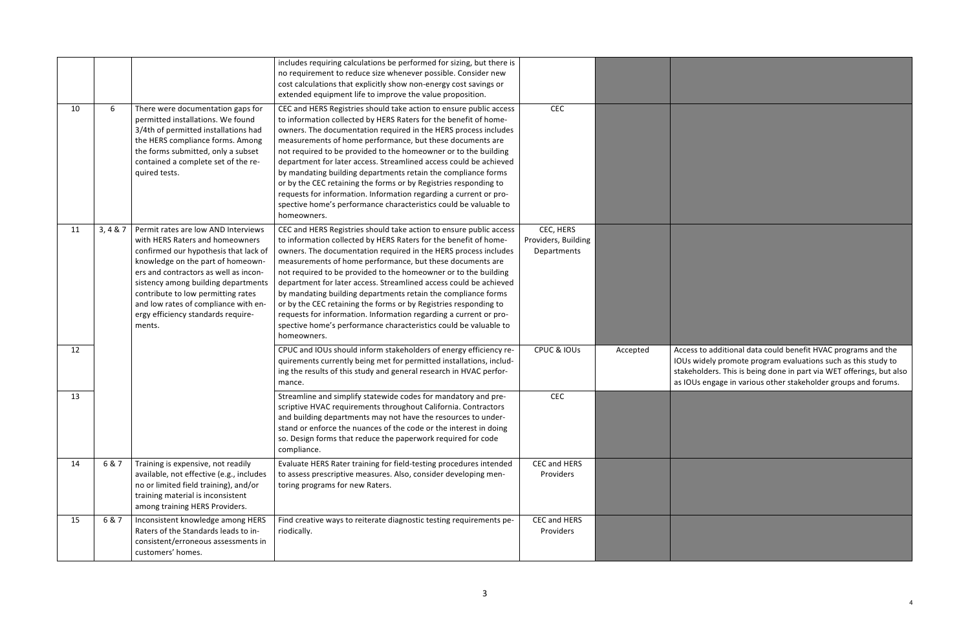CPUC & IOUs  $\vert$  Accepted  $\vert$  Access to additional data could benefit HVAC programs and the IOUs widely promote program evaluations such as this study to stakeholders. This is being done in part via WET offerings, but also as IOUs engage in various other stakeholder groups and forums.

|    |           |                                                                                                                                                                                                                                                                                                                                                                    | includes requiring calculations be performed for sizing, but there is<br>no requirement to reduce size whenever possible. Consider new<br>cost calculations that explicitly show non-energy cost savings or<br>extended equipment life to improve the value proposition.                                                                                                                                                                                                                                                                                                                                                                                                                                    |                                                 |          |                                                   |
|----|-----------|--------------------------------------------------------------------------------------------------------------------------------------------------------------------------------------------------------------------------------------------------------------------------------------------------------------------------------------------------------------------|-------------------------------------------------------------------------------------------------------------------------------------------------------------------------------------------------------------------------------------------------------------------------------------------------------------------------------------------------------------------------------------------------------------------------------------------------------------------------------------------------------------------------------------------------------------------------------------------------------------------------------------------------------------------------------------------------------------|-------------------------------------------------|----------|---------------------------------------------------|
| 10 | 6         | There were documentation gaps for<br>permitted installations. We found<br>3/4th of permitted installations had<br>the HERS compliance forms. Among<br>the forms submitted, only a subset<br>contained a complete set of the re-<br>quired tests.                                                                                                                   | CEC and HERS Registries should take action to ensure public access<br>to information collected by HERS Raters for the benefit of home-<br>owners. The documentation required in the HERS process includes<br>measurements of home performance, but these documents are<br>not required to be provided to the homeowner or to the building<br>department for later access. Streamlined access could be achieved<br>by mandating building departments retain the compliance forms<br>or by the CEC retaining the forms or by Registries responding to<br>requests for information. Information regarding a current or pro-<br>spective home's performance characteristics could be valuable to<br>homeowners. | CEC                                             |          |                                                   |
| 11 | 3, 4 & 87 | Permit rates are low AND Interviews<br>with HERS Raters and homeowners<br>confirmed our hypothesis that lack of<br>knowledge on the part of homeown-<br>ers and contractors as well as incon-<br>sistency among building departments<br>contribute to low permitting rates<br>and low rates of compliance with en-<br>ergy efficiency standards require-<br>ments. | CEC and HERS Registries should take action to ensure public access<br>to information collected by HERS Raters for the benefit of home-<br>owners. The documentation required in the HERS process includes<br>measurements of home performance, but these documents are<br>not required to be provided to the homeowner or to the building<br>department for later access. Streamlined access could be achieved<br>by mandating building departments retain the compliance forms<br>or by the CEC retaining the forms or by Registries responding to<br>requests for information. Information regarding a current or pro-<br>spective home's performance characteristics could be valuable to<br>homeowners. | CEC, HERS<br>Providers, Building<br>Departments |          |                                                   |
| 12 |           |                                                                                                                                                                                                                                                                                                                                                                    | CPUC and IOUs should inform stakeholders of energy efficiency re-<br>quirements currently being met for permitted installations, includ-<br>ing the results of this study and general research in HVAC perfor-<br>mance.                                                                                                                                                                                                                                                                                                                                                                                                                                                                                    | CPUC & IOUS                                     | Accepted | Access to<br>IOUs wide<br>stakehold<br>as IOUs el |
| 13 |           |                                                                                                                                                                                                                                                                                                                                                                    | Streamline and simplify statewide codes for mandatory and pre-<br>scriptive HVAC requirements throughout California. Contractors<br>and building departments may not have the resources to under-<br>stand or enforce the nuances of the code or the interest in doing<br>so. Design forms that reduce the paperwork required for code<br>compliance.                                                                                                                                                                                                                                                                                                                                                       | <b>CEC</b>                                      |          |                                                   |
| 14 | 6 & 7     | Training is expensive, not readily<br>available, not effective (e.g., includes<br>no or limited field training), and/or<br>training material is inconsistent<br>among training HERS Providers.                                                                                                                                                                     | Evaluate HERS Rater training for field-testing procedures intended<br>to assess prescriptive measures. Also, consider developing men-<br>toring programs for new Raters.                                                                                                                                                                                                                                                                                                                                                                                                                                                                                                                                    | CEC and HERS<br>Providers                       |          |                                                   |
| 15 | 6 & 7     | Inconsistent knowledge among HERS<br>Raters of the Standards leads to in-<br>consistent/erroneous assessments in<br>customers' homes.                                                                                                                                                                                                                              | Find creative ways to reiterate diagnostic testing requirements pe-<br>riodically.                                                                                                                                                                                                                                                                                                                                                                                                                                                                                                                                                                                                                          | CEC and HERS<br>Providers                       |          |                                                   |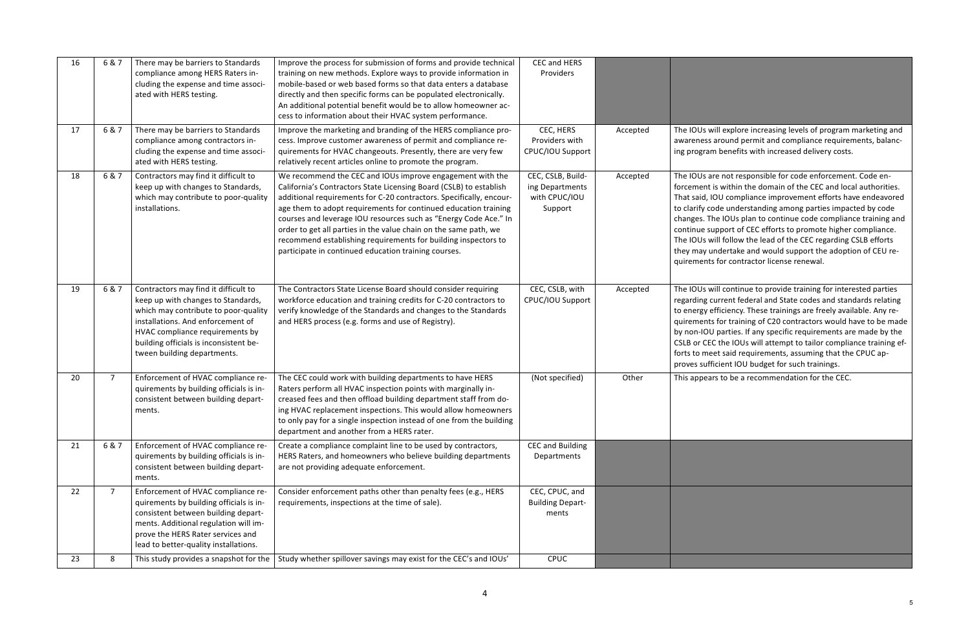vill explore increasing levels of program marketing and around permit and compliance requirements, balancm benefits with increased delivery costs.

re not responsible for code enforcement. Code enis within the domain of the CEC and local authorities. IOU compliance improvement efforts have endeavored ode understanding among parties impacted by code he IOUs plan to continue code compliance training and upport of CEC efforts to promote higher compliance. vill follow the lead of the CEC regarding CSLB efforts Indertake and would support the adoption of CEU refor contractor license renewal.

vill continue to provide training for interested parties current federal and State codes and standards relating efficiency. These trainings are freely available. Any res for training of C20 contractors would have to be made I parties. If any specific requirements are made by the C the IOUs will attempt to tailor compliance training efeet said requirements, assuming that the CPUC apicient IOU budget for such trainings.

Irs to be a recommendation for the CEC.

| 16 | 6 & 7          | There may be barriers to Standards<br>compliance among HERS Raters in-<br>cluding the expense and time associ-<br>ated with HERS testing.                                                                                                                           | Improve the process for submission of forms and provide technical<br>training on new methods. Explore ways to provide information in<br>mobile-based or web based forms so that data enters a database<br>directly and then specific forms can be populated electronically.<br>An additional potential benefit would be to allow homeowner ac-<br>cess to information about their HVAC system performance.                                                                                                                                  | CEC and HERS<br>Providers                                        |          |                                                                                                                                  |
|----|----------------|---------------------------------------------------------------------------------------------------------------------------------------------------------------------------------------------------------------------------------------------------------------------|---------------------------------------------------------------------------------------------------------------------------------------------------------------------------------------------------------------------------------------------------------------------------------------------------------------------------------------------------------------------------------------------------------------------------------------------------------------------------------------------------------------------------------------------|------------------------------------------------------------------|----------|----------------------------------------------------------------------------------------------------------------------------------|
| 17 | 6 & 7          | There may be barriers to Standards<br>compliance among contractors in-<br>cluding the expense and time associ-<br>ated with HERS testing.                                                                                                                           | Improve the marketing and branding of the HERS compliance pro-<br>cess. Improve customer awareness of permit and compliance re-<br>quirements for HVAC changeouts. Presently, there are very few<br>relatively recent articles online to promote the program.                                                                                                                                                                                                                                                                               | CEC, HERS<br>Providers with<br>CPUC/IOU Support                  | Accepted | The IOUs w<br>awareness<br>ing progran                                                                                           |
| 18 | 6 & 7          | Contractors may find it difficult to<br>keep up with changes to Standards,<br>which may contribute to poor-quality<br>installations.                                                                                                                                | We recommend the CEC and IOUs improve engagement with the<br>California's Contractors State Licensing Board (CSLB) to establish<br>additional requirements for C-20 contractors. Specifically, encour-<br>age them to adopt requirements for continued education training<br>courses and leverage IOU resources such as "Energy Code Ace." In<br>order to get all parties in the value chain on the same path, we<br>recommend establishing requirements for building inspectors to<br>participate in continued education training courses. | CEC, CSLB, Build-<br>ing Departments<br>with CPUC/IOU<br>Support | Accepted | The IOUs a<br>forcement<br>That said, I<br>to clarify co<br>changes. Th<br>continue su<br>The IOUs w<br>they may u<br>quirements |
| 19 | 6 & 7          | Contractors may find it difficult to<br>keep up with changes to Standards,<br>which may contribute to poor-quality<br>installations. And enforcement of<br>HVAC compliance requirements by<br>building officials is inconsistent be-<br>tween building departments. | The Contractors State License Board should consider requiring<br>workforce education and training credits for C-20 contractors to<br>verify knowledge of the Standards and changes to the Standards<br>and HERS process (e.g. forms and use of Registry).                                                                                                                                                                                                                                                                                   | CEC, CSLB, with<br>CPUC/IOU Support                              | Accepted | The IOUs w<br>regarding c<br>to energy e<br>quirements<br>by non-IOU<br>CSLB or CE<br>forts to me<br>proves suff                 |
| 20 | $\overline{7}$ | Enforcement of HVAC compliance re-<br>quirements by building officials is in-<br>consistent between building depart-<br>ments.                                                                                                                                      | The CEC could work with building departments to have HERS<br>Raters perform all HVAC inspection points with marginally in-<br>creased fees and then offload building department staff from do-<br>ing HVAC replacement inspections. This would allow homeowners<br>to only pay for a single inspection instead of one from the building<br>department and another from a HERS rater.                                                                                                                                                        | (Not specified)                                                  | Other    | This appear                                                                                                                      |
| 21 | 6 & 7          | Enforcement of HVAC compliance re-<br>quirements by building officials is in-<br>consistent between building depart-<br>ments.                                                                                                                                      | Create a compliance complaint line to be used by contractors,<br>HERS Raters, and homeowners who believe building departments<br>are not providing adequate enforcement.                                                                                                                                                                                                                                                                                                                                                                    | <b>CEC and Building</b><br>Departments                           |          |                                                                                                                                  |
| 22 | $\overline{7}$ | Enforcement of HVAC compliance re-<br>quirements by building officials is in-<br>consistent between building depart-<br>ments. Additional regulation will im-<br>prove the HERS Rater services and<br>lead to better-quality installations.                         | Consider enforcement paths other than penalty fees (e.g., HERS<br>requirements, inspections at the time of sale).                                                                                                                                                                                                                                                                                                                                                                                                                           | CEC, CPUC, and<br><b>Building Depart-</b><br>ments               |          |                                                                                                                                  |
| 23 | 8              | This study provides a snapshot for the                                                                                                                                                                                                                              | Study whether spillover savings may exist for the CEC's and IOUs'                                                                                                                                                                                                                                                                                                                                                                                                                                                                           | <b>CPUC</b>                                                      |          |                                                                                                                                  |